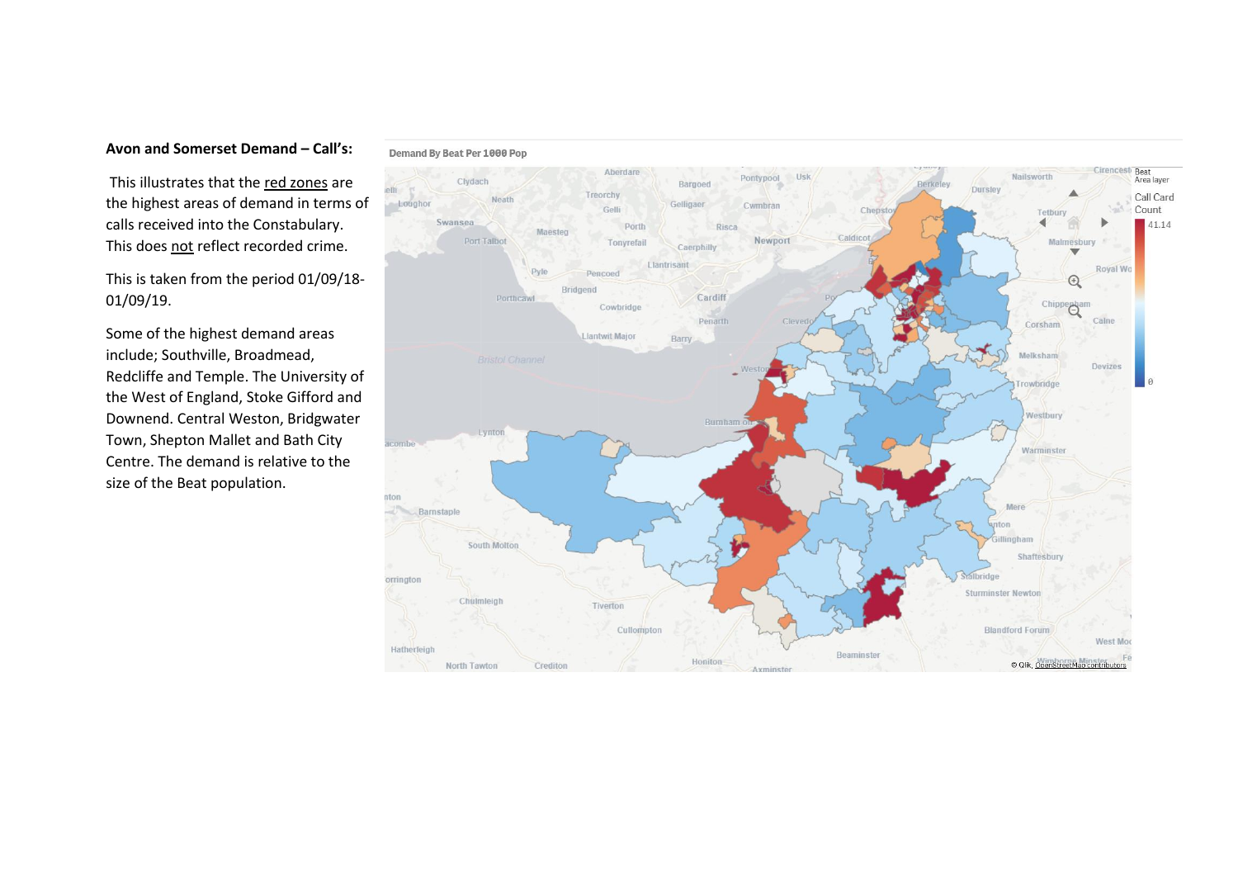## **Avon and Somerset Demand – Call's:**

This illustrates that the red zones are the highest areas of demand in terms of calls received into the Constabulary. This does not reflect recorded crime.

This is taken from the period 01/09/18- 01/09/19.

Some of the highest demand areas include; Southville, Broadmead, Redcliffe and Temple. The University of the West of England, Stoke Gifford and Downend. Central Weston, Bridgwater Town, Shepton Mallet and Bath City Centre. The demand is relative to the size of the Beat population.

## Demand By Beat Per 1000 Pop

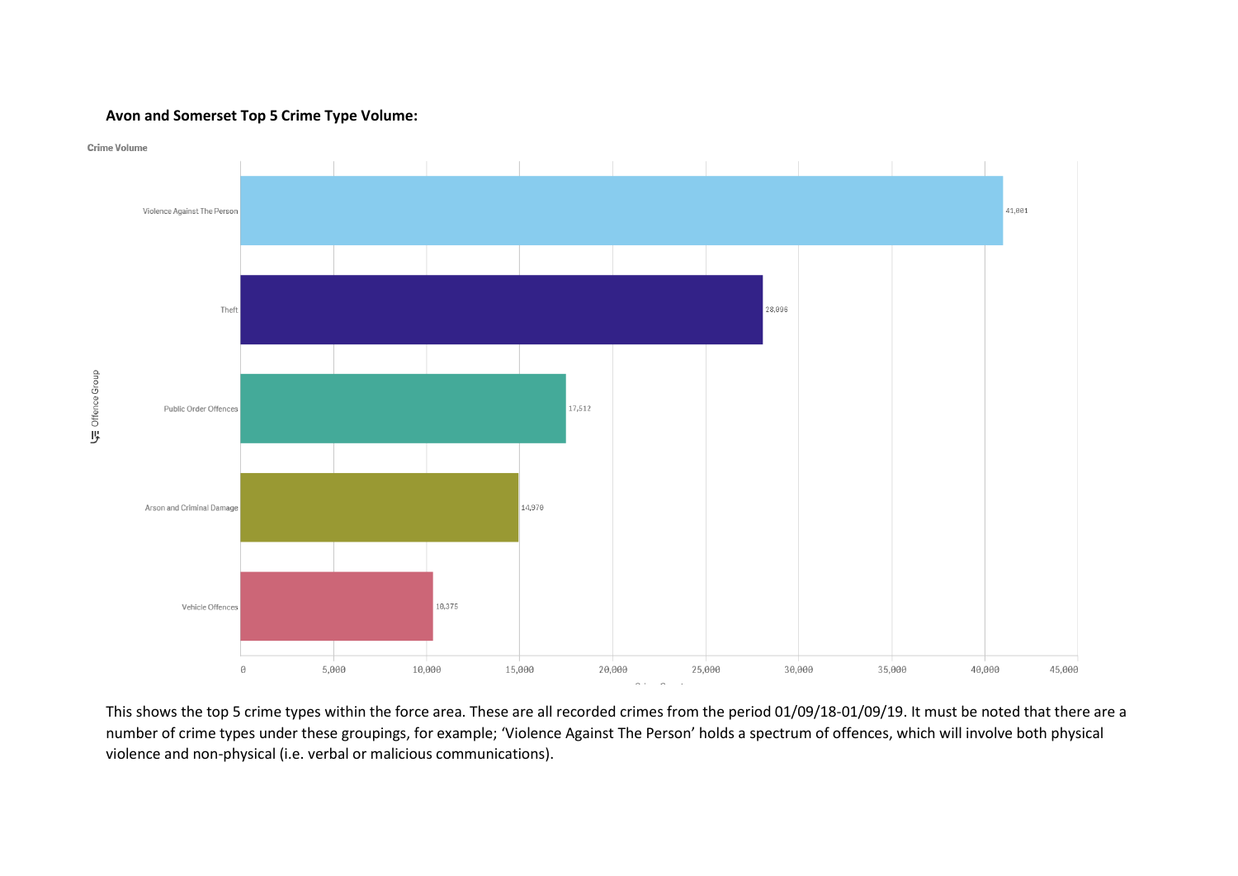## **Avon and Somerset Top 5 Crime Type Volume:**



This shows the top 5 crime types within the force area. These are all recorded crimes from the period 01/09/18-01/09/19. It must be noted that there are a number of crime types under these groupings, for example; 'Violence Against The Person' holds a spectrum of offences, which will involve both physical violence and non-physical (i.e. verbal or malicious communications).